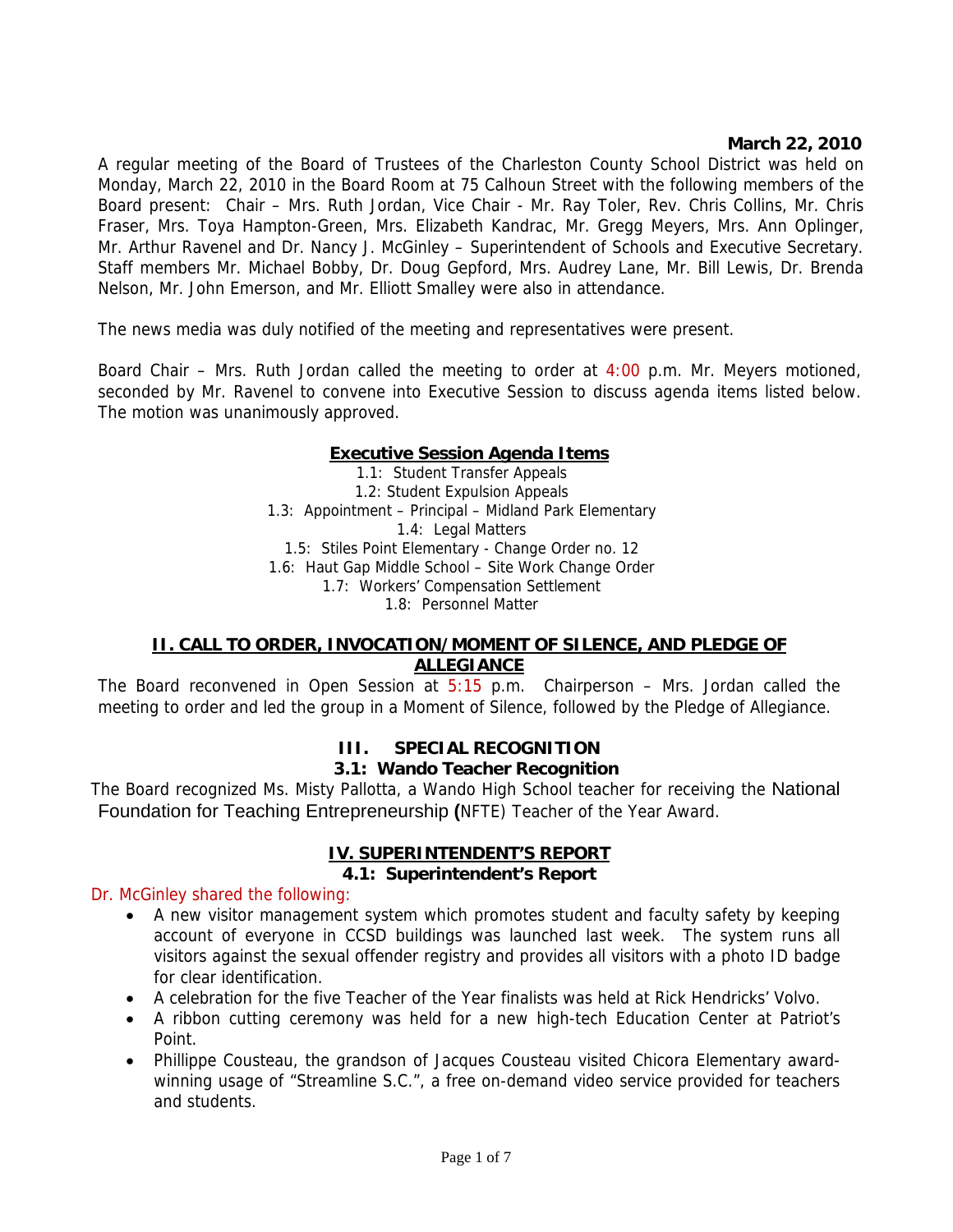## **March 22, 2010**

A regular meeting of the Board of Trustees of the Charleston County School District was held on Monday, March 22, 2010 in the Board Room at 75 Calhoun Street with the following members of the Board present: Chair – Mrs. Ruth Jordan, Vice Chair - Mr. Ray Toler, Rev. Chris Collins, Mr. Chris Fraser, Mrs. Toya Hampton-Green, Mrs. Elizabeth Kandrac, Mr. Gregg Meyers, Mrs. Ann Oplinger, Mr. Arthur Ravenel and Dr. Nancy J. McGinley – Superintendent of Schools and Executive Secretary. Staff members Mr. Michael Bobby, Dr. Doug Gepford, Mrs. Audrey Lane, Mr. Bill Lewis, Dr. Brenda Nelson, Mr. John Emerson, and Mr. Elliott Smalley were also in attendance.

The news media was duly notified of the meeting and representatives were present.

Board Chair – Mrs. Ruth Jordan called the meeting to order at  $4:00$  p.m. Mr. Meyers motioned, seconded by Mr. Ravenel to convene into Executive Session to discuss agenda items listed below. The motion was unanimously approved.

### **Executive Session Agenda Items**

1.1: Student Transfer Appeals 1.2: Student Expulsion Appeals 1.3: Appointment – Principal – Midland Park Elementary 1.4: Legal Matters 1.5: Stiles Point Elementary - Change Order no. 12 1.6: Haut Gap Middle School – Site Work Change Order 1.7: Workers' Compensation Settlement 1.8: Personnel Matter

### **II. CALL TO ORDER, INVOCATION/MOMENT OF SILENCE, AND PLEDGE OF ALLEGIANCE**

The Board reconvened in Open Session at 5:15 p.m. Chairperson – Mrs. Jordan called the meeting to order and led the group in a Moment of Silence, followed by the Pledge of Allegiance.

# **III. SPECIAL RECOGNITION**

#### **3.1: Wando Teacher Recognition**

The Board recognized Ms. Misty Pallotta, a Wando High School teacher for receiving the National Foundation for Teaching Entrepreneurship **(**NFTE) Teacher of the Year Award.

### **IV. SUPERINTENDENT'S REPORT**

### **4.1: Superintendent's Report**

#### Dr. McGinley shared the following:

- A new visitor management system which promotes student and faculty safety by keeping account of everyone in CCSD buildings was launched last week. The system runs all visitors against the sexual offender registry and provides all visitors with a photo ID badge for clear identification.
- A celebration for the five Teacher of the Year finalists was held at Rick Hendricks' Volvo.
- A ribbon cutting ceremony was held for a new high-tech Education Center at Patriot's Point.
- Phillippe Cousteau, the grandson of Jacques Cousteau visited Chicora Elementary awardwinning usage of "Streamline S.C.", a free on-demand video service provided for teachers and students.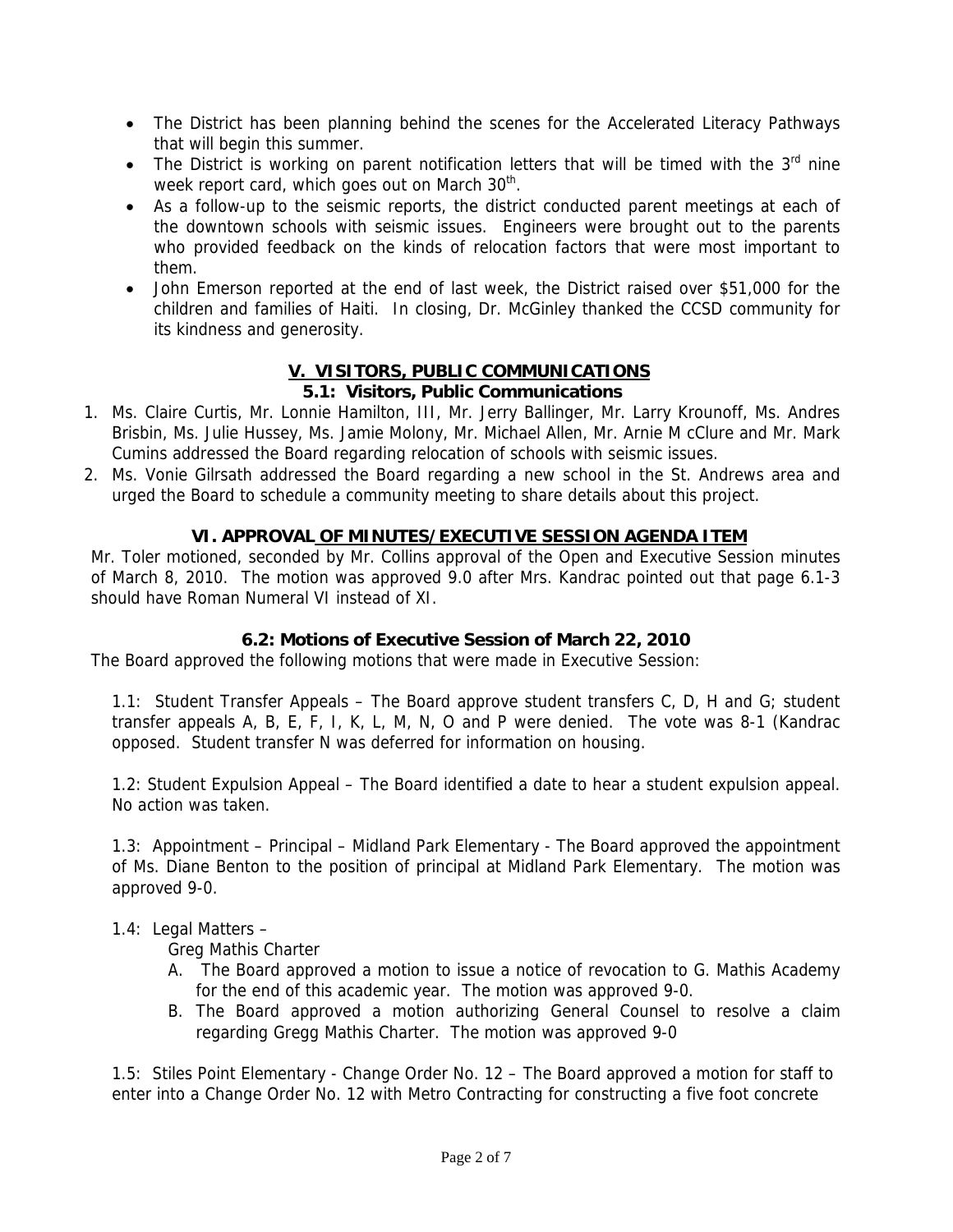- The District has been planning behind the scenes for the Accelerated Literacy Pathways that will begin this summer.
- The District is working on parent notification letters that will be timed with the  $3<sup>rd</sup>$  nine week report card, which goes out on March 30<sup>th</sup>.
- As a follow-up to the seismic reports, the district conducted parent meetings at each of the downtown schools with seismic issues. Engineers were brought out to the parents who provided feedback on the kinds of relocation factors that were most important to them.
- John Emerson reported at the end of last week, the District raised over \$51,000 for the children and families of Haiti. In closing, Dr. McGinley thanked the CCSD community for its kindness and generosity.

### **V. VISITORS, PUBLIC COMMUNICATIONS 5.1: Visitors, Public Communications**

- 1. Ms. Claire Curtis, Mr. Lonnie Hamilton, III, Mr. Jerry Ballinger, Mr. Larry Krounoff, Ms. Andres Brisbin, Ms. Julie Hussey, Ms. Jamie Molony, Mr. Michael Allen, Mr. Arnie M cClure and Mr. Mark Cumins addressed the Board regarding relocation of schools with seismic issues.
- 2. Ms. Vonie Gilrsath addressed the Board regarding a new school in the St. Andrews area and urged the Board to schedule a community meeting to share details about this project.

# **VI. APPROVAL OF MINUTES/EXECUTIVE SESSION AGENDA ITEM**

Mr. Toler motioned, seconded by Mr. Collins approval of the Open and Executive Session minutes of March 8, 2010. The motion was approved 9.0 after Mrs. Kandrac pointed out that page 6.1-3 should have Roman Numeral VI instead of XI.

# **6.2: Motions of Executive Session of March 22, 2010**

The Board approved the following motions that were made in Executive Session:

1.1: Student Transfer Appeals – The Board approve student transfers C, D, H and G; student transfer appeals A, B, E, F, I, K, L, M, N, O and P were denied. The vote was 8-1 (Kandrac opposed. Student transfer N was deferred for information on housing.

1.2: Student Expulsion Appeal – The Board identified a date to hear a student expulsion appeal. No action was taken.

1.3: Appointment – Principal – Midland Park Elementary - The Board approved the appointment of Ms. Diane Benton to the position of principal at Midland Park Elementary. The motion was approved 9-0.

# 1.4: Legal Matters –

Greg Mathis Charter

- A. The Board approved a motion to issue a notice of revocation to G. Mathis Academy for the end of this academic year. The motion was approved 9-0.
- B. The Board approved a motion authorizing General Counsel to resolve a claim regarding Gregg Mathis Charter. The motion was approved 9-0

1.5: Stiles Point Elementary - Change Order No. 12 – The Board approved a motion for staff to enter into a Change Order No. 12 with Metro Contracting for constructing a five foot concrete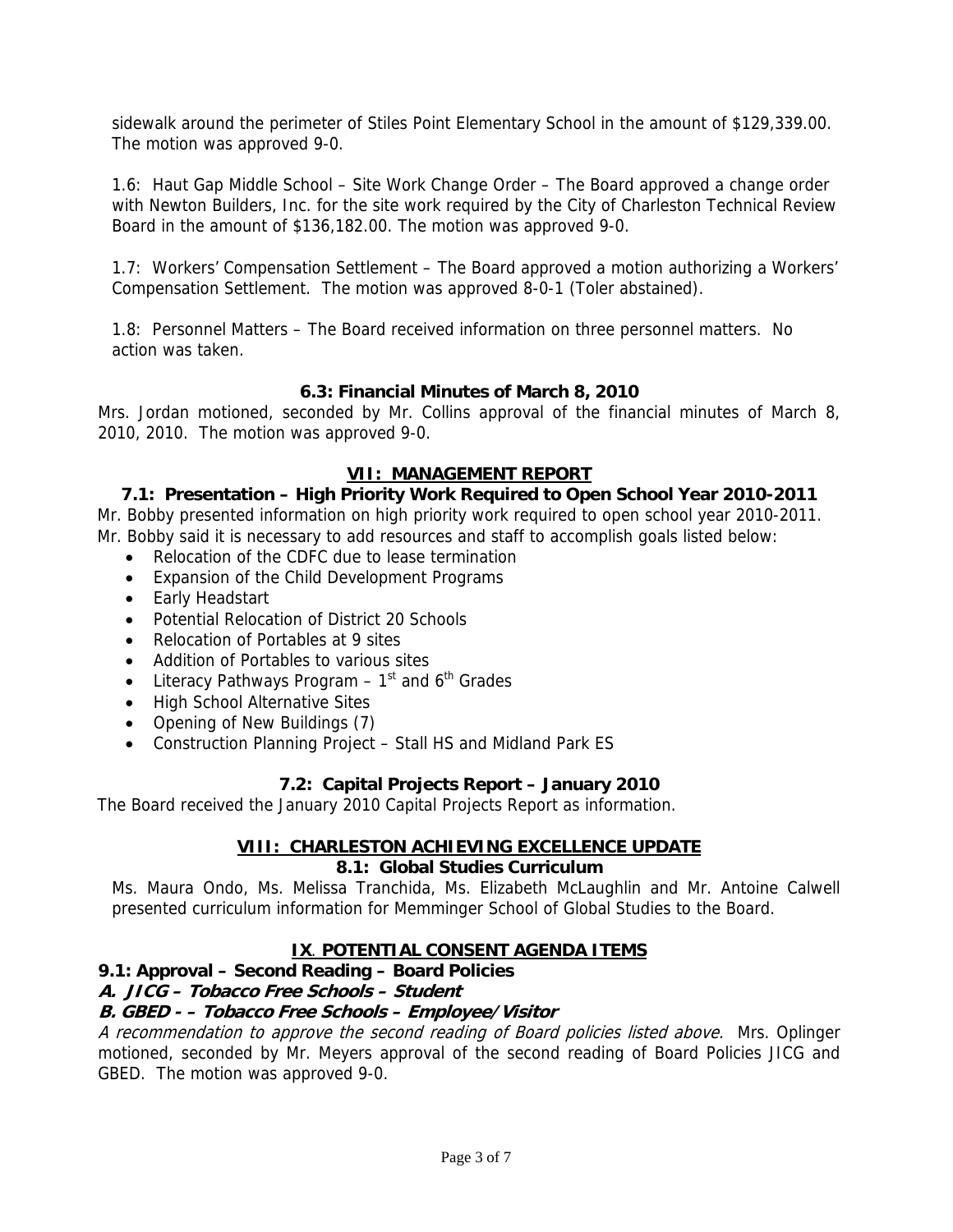sidewalk around the perimeter of Stiles Point Elementary School in the amount of \$129,339.00. The motion was approved 9-0.

1.6: Haut Gap Middle School – Site Work Change Order – The Board approved a change order with Newton Builders, Inc. for the site work required by the City of Charleston Technical Review Board in the amount of \$136,182.00. The motion was approved 9-0.

1.7: Workers' Compensation Settlement – The Board approved a motion authorizing a Workers' Compensation Settlement. The motion was approved 8-0-1 (Toler abstained).

1.8: Personnel Matters – The Board received information on three personnel matters. No action was taken.

## **6.3: Financial Minutes of March 8, 2010**

Mrs. Jordan motioned, seconded by Mr. Collins approval of the financial minutes of March 8, 2010, 2010. The motion was approved 9-0.

# **VII: MANAGEMENT REPORT**

# **7.1: Presentation – High Priority Work Required to Open School Year 2010-2011**

Mr. Bobby presented information on high priority work required to open school year 2010-2011. Mr. Bobby said it is necessary to add resources and staff to accomplish goals listed below:

- Relocation of the CDFC due to lease termination
- Expansion of the Child Development Programs
- Early Headstart
- Potential Relocation of District 20 Schools
- Relocation of Portables at 9 sites
- Addition of Portables to various sites
- Literacy Pathways Program  $-1$ <sup>st</sup> and  $6<sup>th</sup>$  Grades
- High School Alternative Sites
- Opening of New Buildings (7)
- Construction Planning Project Stall HS and Midland Park ES

# **7.2: Capital Projects Report – January 2010**

The Board received the January 2010 Capital Projects Report as information.

# **VIII: CHARLESTON ACHIEVING EXCELLENCE UPDATE**

## **8.1: Global Studies Curriculum**

Ms. Maura Ondo, Ms. Melissa Tranchida, Ms. Elizabeth McLaughlin and Mr. Antoine Calwell presented curriculum information for Memminger School of Global Studies to the Board.

# **IX**. **POTENTIAL CONSENT AGENDA ITEMS**

**9.1: Approval – Second Reading – Board Policies** 

# **A. JICG – Tobacco Free Schools – Student**

# **B. GBED - – Tobacco Free Schools – Employee/Visitor**

A recommendation to approve the second reading of Board policies listed above. Mrs. Oplinger motioned, seconded by Mr. Meyers approval of the second reading of Board Policies JICG and GBED. The motion was approved 9-0.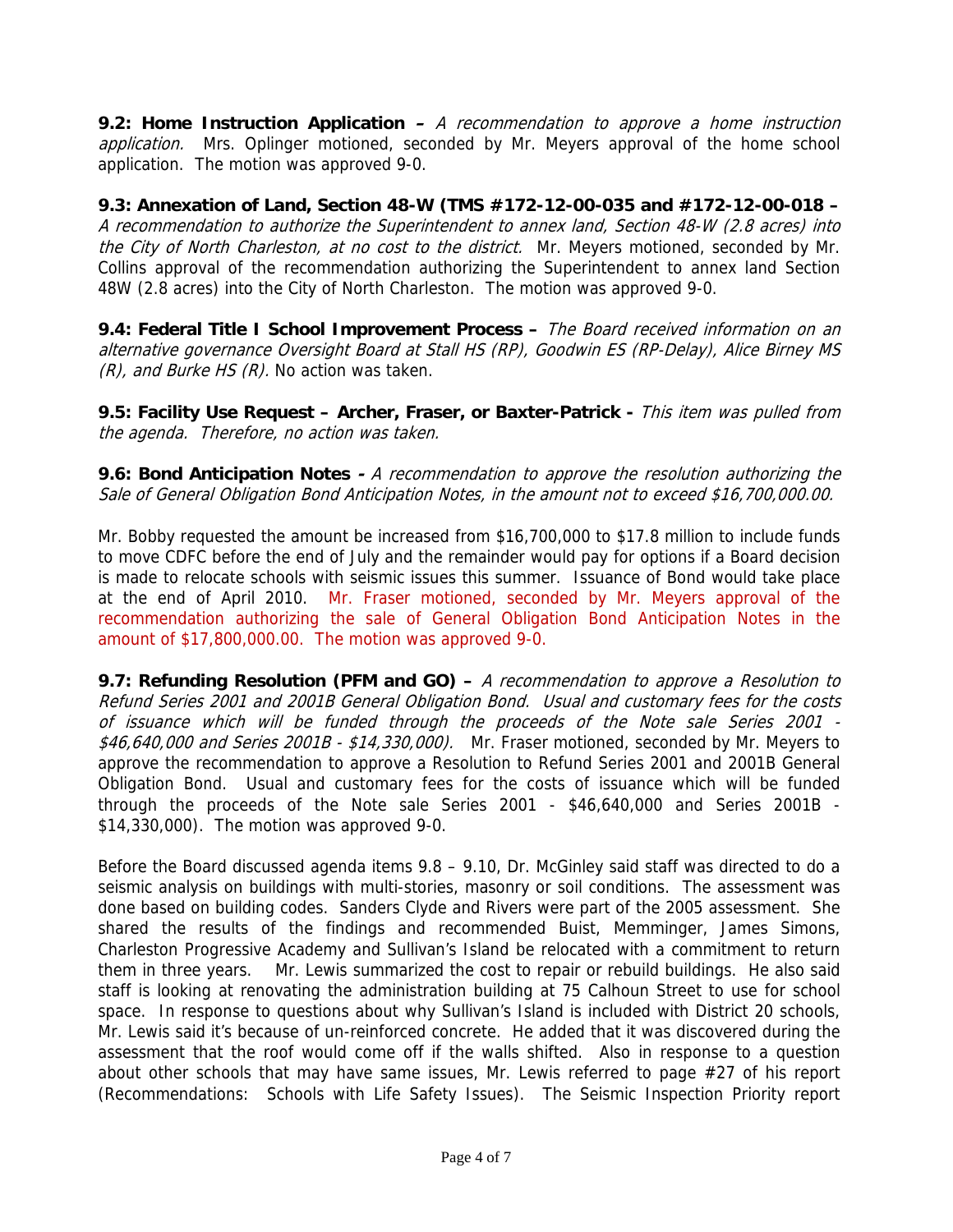**9.2: Home Instruction Application –** A recommendation to approve a home instruction application. Mrs. Oplinger motioned, seconded by Mr. Meyers approval of the home school application. The motion was approved 9-0.

**9.3: Annexation of Land, Section 48-W (TMS #172-12-00-035 and #172-12-00-018 –**  A recommendation to authorize the Superintendent to annex land, Section 48-W (2.8 acres) into the City of North Charleston, at no cost to the district. Mr. Meyers motioned, seconded by Mr. Collins approval of the recommendation authorizing the Superintendent to annex land Section 48W (2.8 acres) into the City of North Charleston. The motion was approved 9-0.

**9.4: Federal Title I School Improvement Process –** The Board received information on an alternative governance Oversight Board at Stall HS (RP), Goodwin ES (RP-Delay), Alice Birney MS  $(R)$ , and Burke HS  $(R)$ . No action was taken.

**9.5: Facility Use Request – Archer, Fraser, or Baxter-Patrick -** This item was pulled from the agenda. Therefore, no action was taken.

**9.6: Bond Anticipation Notes -** A recommendation to approve the resolution authorizing the Sale of General Obligation Bond Anticipation Notes, in the amount not to exceed \$16,700,000.00.

Mr. Bobby requested the amount be increased from \$16,700,000 to \$17.8 million to include funds to move CDFC before the end of July and the remainder would pay for options if a Board decision is made to relocate schools with seismic issues this summer. Issuance of Bond would take place at the end of April 2010. Mr. Fraser motioned, seconded by Mr. Meyers approval of the recommendation authorizing the sale of General Obligation Bond Anticipation Notes in the amount of \$17,800,000.00. The motion was approved 9-0.

**9.7: Refunding Resolution (PFM and GO) –** A recommendation to approve a Resolution to Refund Series 2001 and 2001B General Obligation Bond. Usual and customary fees for the costs of issuance which will be funded through the proceeds of the Note sale Series 2001 - \$46,640,000 and Series 2001B - \$14,330,000). Mr. Fraser motioned, seconded by Mr. Meyers to approve the recommendation to approve a Resolution to Refund Series 2001 and 2001B General Obligation Bond. Usual and customary fees for the costs of issuance which will be funded through the proceeds of the Note sale Series 2001 - \$46,640,000 and Series 2001B - \$14,330,000). The motion was approved 9-0.

Before the Board discussed agenda items 9.8 – 9.10, Dr. McGinley said staff was directed to do a seismic analysis on buildings with multi-stories, masonry or soil conditions. The assessment was done based on building codes. Sanders Clyde and Rivers were part of the 2005 assessment. She shared the results of the findings and recommended Buist, Memminger, James Simons, Charleston Progressive Academy and Sullivan's Island be relocated with a commitment to return them in three years. Mr. Lewis summarized the cost to repair or rebuild buildings. He also said staff is looking at renovating the administration building at 75 Calhoun Street to use for school space. In response to questions about why Sullivan's Island is included with District 20 schools, Mr. Lewis said it's because of un-reinforced concrete. He added that it was discovered during the assessment that the roof would come off if the walls shifted. Also in response to a question about other schools that may have same issues, Mr. Lewis referred to page #27 of his report (Recommendations: Schools with Life Safety Issues). The Seismic Inspection Priority report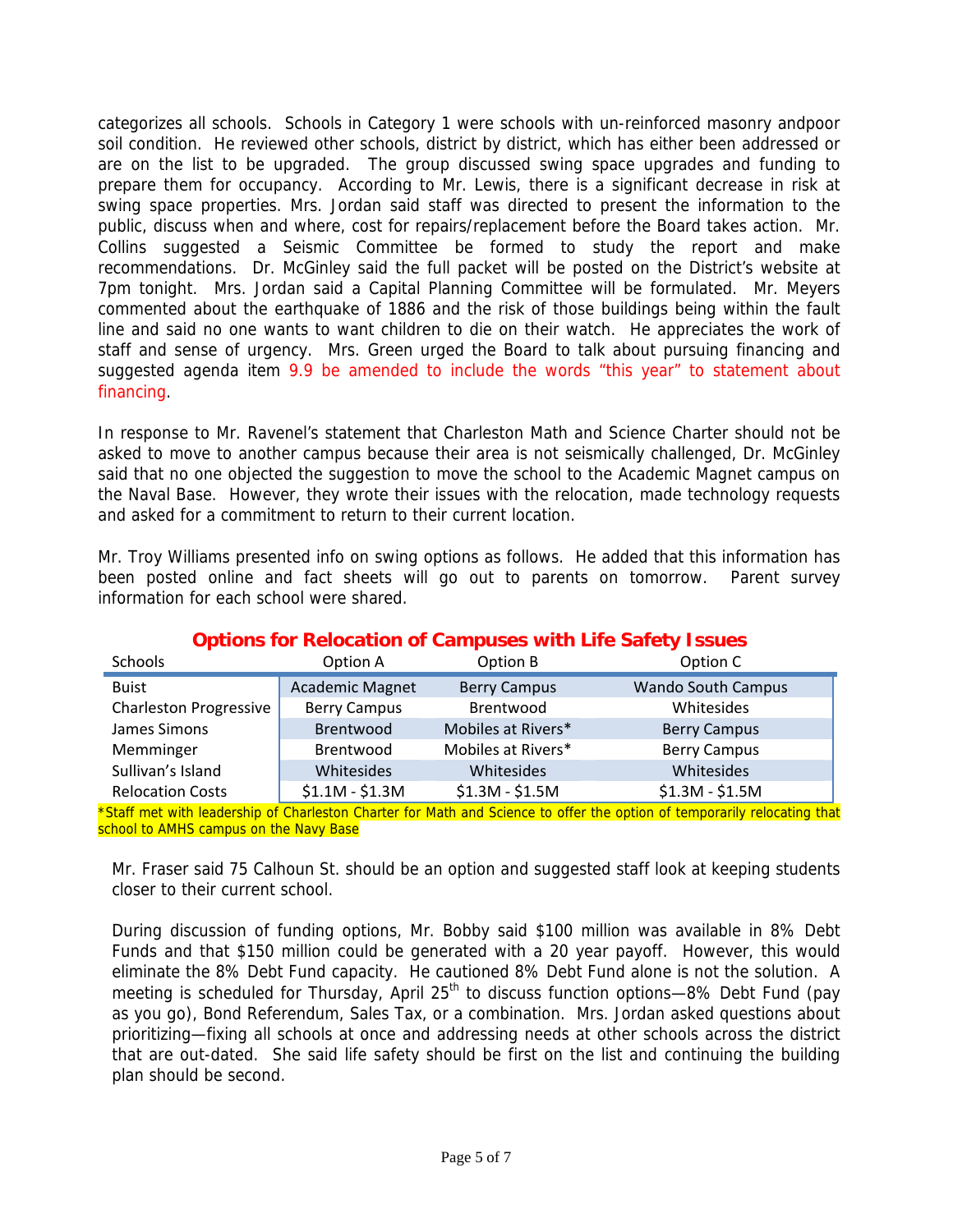categorizes all schools. Schools in Category 1 were schools with un-reinforced masonry andpoor soil condition. He reviewed other schools, district by district, which has either been addressed or are on the list to be upgraded. The group discussed swing space upgrades and funding to prepare them for occupancy. According to Mr. Lewis, there is a significant decrease in risk at swing space properties. Mrs. Jordan said staff was directed to present the information to the public, discuss when and where, cost for repairs/replacement before the Board takes action. Mr. Collins suggested a Seismic Committee be formed to study the report and make recommendations. Dr. McGinley said the full packet will be posted on the District's website at 7pm tonight. Mrs. Jordan said a Capital Planning Committee will be formulated. Mr. Meyers commented about the earthquake of 1886 and the risk of those buildings being within the fault line and said no one wants to want children to die on their watch. He appreciates the work of staff and sense of urgency. Mrs. Green urged the Board to talk about pursuing financing and suggested agenda item 9.9 be amended to include the words "this year" to statement about financing.

In response to Mr. Ravenel's statement that Charleston Math and Science Charter should not be asked to move to another campus because their area is not seismically challenged, Dr. McGinley said that no one objected the suggestion to move the school to the Academic Magnet campus on the Naval Base. However, they wrote their issues with the relocation, made technology requests and asked for a commitment to return to their current location.

Mr. Troy Williams presented info on swing options as follows. He added that this information has been posted online and fact sheets will go out to parents on tomorrow. Parent survey information for each school were shared.

| Schools                       | Option A               | Option B            | Option C                  |
|-------------------------------|------------------------|---------------------|---------------------------|
| <b>Buist</b>                  | <b>Academic Magnet</b> | <b>Berry Campus</b> | <b>Wando South Campus</b> |
| <b>Charleston Progressive</b> | <b>Berry Campus</b>    | Brentwood           | Whitesides                |
| James Simons                  | Brentwood              | Mobiles at Rivers*  | <b>Berry Campus</b>       |
| Memminger                     | Brentwood              | Mobiles at Rivers*  | <b>Berry Campus</b>       |
| Sullivan's Island             | Whitesides             | Whitesides          | Whitesides                |
| <b>Relocation Costs</b>       | $$1.1M - $1.3M$$       | $$1.3M - $1.5M$     | $$1.3M - $1.5M$           |

## **Options for Relocation of Campuses with Life Safety Issues**

\*Staff met with leadership of Charleston Charter for Math and Science to offer the option of temporarily relocating that school to AMHS campus on the Navy Base

Mr. Fraser said 75 Calhoun St. should be an option and suggested staff look at keeping students closer to their current school.

During discussion of funding options, Mr. Bobby said \$100 million was available in 8% Debt Funds and that \$150 million could be generated with a 20 year payoff. However, this would eliminate the 8% Debt Fund capacity. He cautioned 8% Debt Fund alone is not the solution. A meeting is scheduled for Thursday, April 25<sup>th</sup> to discuss function options—8% Debt Fund (pay as you go), Bond Referendum, Sales Tax, or a combination. Mrs. Jordan asked questions about prioritizing—fixing all schools at once and addressing needs at other schools across the district that are out-dated. She said life safety should be first on the list and continuing the building plan should be second.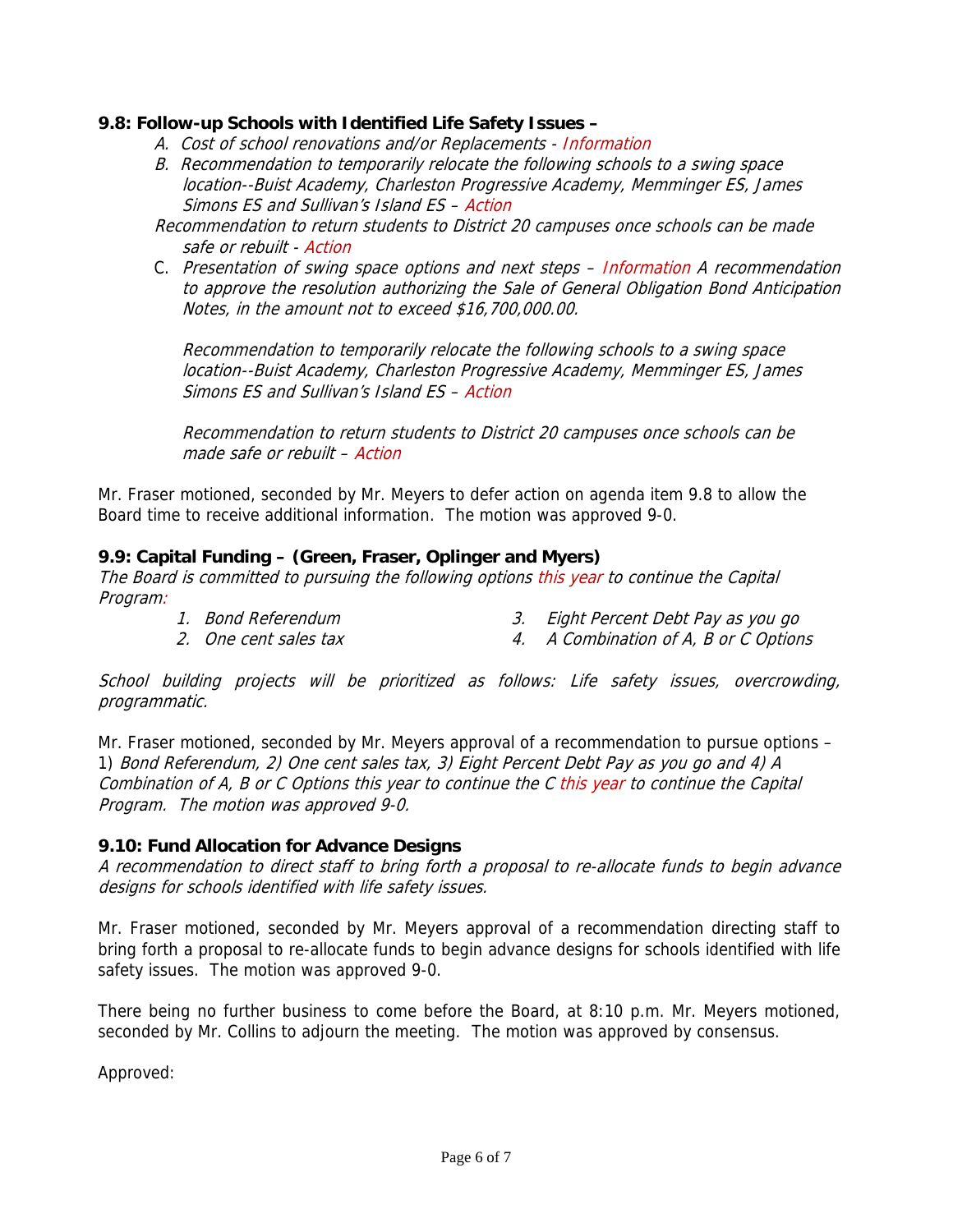## **9.8: Follow-up Schools with Identified Life Safety Issues –**

- A. Cost of school renovations and/or Replacements Information
- B. Recommendation to temporarily relocate the following schools to a swing space location--Buist Academy, Charleston Progressive Academy, Memminger ES, James Simons ES and Sullivan's Island ES – Action
- Recommendation to return students to District 20 campuses once schools can be made safe or rebuilt - Action
- C. Presentation of swing space options and next steps Information A recommendation to approve the resolution authorizing the Sale of General Obligation Bond Anticipation Notes, in the amount not to exceed \$16,700,000.00.

Recommendation to temporarily relocate the following schools to a swing space location--Buist Academy, Charleston Progressive Academy, Memminger ES, James Simons ES and Sullivan's Island ES – Action

Recommendation to return students to District 20 campuses once schools can be made safe or rebuilt – Action

Mr. Fraser motioned, seconded by Mr. Meyers to defer action on agenda item 9.8 to allow the Board time to receive additional information. The motion was approved 9-0.

## **9.9: Capital Funding – (Green, Fraser, Oplinger and Myers)**

The Board is committed to pursuing the following options this year to continue the Capital Program:

- 1. Bond Referendum 3. Eight Percent Debt Pay as you go
- 2. One cent sales tax 4. A Combination of A, B or C Options

School building projects will be prioritized as follows: Life safety issues, overcrowding, programmatic.

Mr. Fraser motioned, seconded by Mr. Meyers approval of a recommendation to pursue options – 1) Bond Referendum, 2) One cent sales tax, 3) Eight Percent Debt Pay as you go and 4) A Combination of A, B or C Options this year to continue the C this year to continue the Capital Program. The motion was approved 9-0.

### **9.10: Fund Allocation for Advance Designs**

A recommendation to direct staff to bring forth a proposal to re-allocate funds to begin advance designs for schools identified with life safety issues.

Mr. Fraser motioned, seconded by Mr. Meyers approval of a recommendation directing staff to bring forth a proposal to re-allocate funds to begin advance designs for schools identified with life safety issues. The motion was approved 9-0.

There being no further business to come before the Board, at 8:10 p.m. Mr. Meyers motioned, seconded by Mr. Collins to adjourn the meeting. The motion was approved by consensus.

Approved: